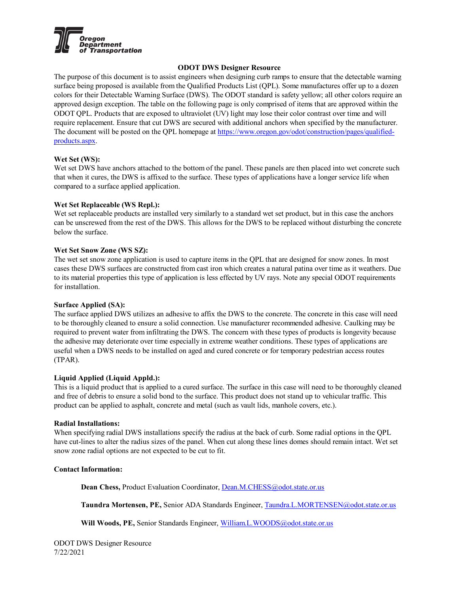

# **ODOT DWS Designer Resource**

The purpose of this document is to assist engineers when designing curb ramps to ensure that the detectable warning surface being proposed is available from the Qualified Products List (QPL). Some manufactures offer up to a dozen colors for their Detectable Warning Surface (DWS). The ODOT standard is safety yellow; all other colors require an approved design exception. The table on the following page is only comprised of items that are approved within the ODOT QPL. Products that are exposed to ultraviolet (UV) light may lose their color contrast over time and will require replacement. Ensure that cut DWS are secured with additional anchors when specified by the manufacturer. The document will be posted on the QPL homepage at [https://www.oregon.gov/odot/construction/pages/qualified](https://www.oregon.gov/odot/construction/pages/qualified-products.aspx)[products.aspx.](https://www.oregon.gov/odot/construction/pages/qualified-products.aspx)

## **Wet Set (WS):**

Wet set DWS have anchors attached to the bottom of the panel. These panels are then placed into wet concrete such that when it cures, the DWS is affixed to the surface. These types of applications have a longer service life when compared to a surface applied application.

## **Wet Set Replaceable (WS Repl.):**

Wet set replaceable products are installed very similarly to a standard wet set product, but in this case the anchors can be unscrewed from the rest of the DWS. This allows for the DWS to be replaced without disturbing the concrete below the surface.

## **Wet Set Snow Zone (WS SZ):**

The wet set snow zone application is used to capture items in the QPL that are designed for snow zones. In most cases these DWS surfaces are constructed from cast iron which creates a natural patina over time as it weathers. Due to its material properties this type of application is less effected by UV rays. Note any special ODOT requirements for installation.

# **Surface Applied (SA):**

The surface applied DWS utilizes an adhesive to affix the DWS to the concrete. The concrete in this case will need to be thoroughly cleaned to ensure a solid connection. Use manufacturer recommended adhesive. Caulking may be required to prevent water from infiltrating the DWS. The concern with these types of products is longevity because the adhesive may deteriorate over time especially in extreme weather conditions. These types of applications are useful when a DWS needs to be installed on aged and cured concrete or for temporary pedestrian access routes (TPAR).

# **Liquid Applied (Liquid Appld.):**

This is a liquid product that is applied to a cured surface. The surface in this case will need to be thoroughly cleaned and free of debris to ensure a solid bond to the surface. This product does not stand up to vehicular traffic. This product can be applied to asphalt, concrete and metal (such as vault lids, manhole covers, etc.).

## **Radial Installations:**

When specifying radial DWS installations specify the radius at the back of curb. Some radial options in the QPL have cut-lines to alter the radius sizes of the panel. When cut along these lines domes should remain intact. Wet set snow zone radial options are not expected to be cut to fit.

# **Contact Information:**

**Dean Chess,** Product Evaluation Coordinator, [Dean.M.CHESS@odot.state.or.us](mailto:Dean.M.CHESS@odot.state.or.us)

**Taundra Mortensen, PE,** Senior ADA Standards Engineer, [Taundra.L.MORTENSEN@odot.state.or.us](mailto:Taundra.L.MORTENSEN@odot.state.or.us)

Will Woods, PE, Senior Standards Engineer, [William.L.WOODS@odot.state.or.us](mailto:William.L.WOODS@odot.state.or.us)

ODOT DWS Designer Resource 7/22/2021